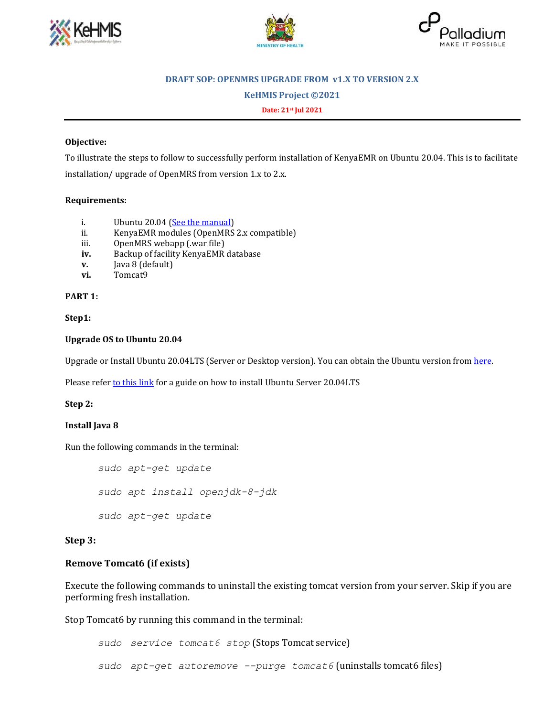





### **DRAFT SOP: OPENMRS UPGRADE FROM v1.X TO VERSION 2.X**

**KeHMIS Project ©2021**

**Date: 21st Jul 2021**

#### **Objective:**

To illustrate the steps to follow to successfully perform installation of KenyaEMR on Ubuntu 20.04. This is to facilitate installation/ upgrade of OpenMRS from version 1.x to 2.x.

#### **Requirements:**

- i. Ubuntu 20.04 [\(See the manual\)](https://www.linuxtechi.com/ubuntu-20-04-lts-installation-steps-screenshots/)
- ii. KenyaEMR modules (OpenMRS 2.x compatible)
- iii. OpenMRS webapp (.war file)
- **iv.** Backup of facility KenyaEMR database
- **v.** Java 8 (default)
- **vi.** Tomcat9

**PART 1:**

#### **Step1:**

#### **Upgrade OS to Ubuntu 20.04**

Upgrade or Install Ubuntu 20.04LTS (Server or Desktop version). You can obtain the Ubuntu version from [here.](https://ubuntu.com/download/alternative-downloads)

Please refer [to this link](https://cloudcone.com/docs/article/how-to-install-ubuntu-server-18-04/) for a guide on how to install Ubuntu Server 20.04LTS

#### **Step 2:**

#### **Install Java 8**

Run the following commands in the terminal:

*sudo apt-get update sudo apt install openjdk-8-jdk sudo apt-get update*

#### **Step 3:**

## **Remove Tomcat6 (if exists)**

Execute the following commands to uninstall the existing tomcat version from your server. Skip if you are performing fresh installation.

Stop Tomcat6 by running this command in the terminal:

*sudo service tomcat6 stop* (Stops Tomcat service) *sudo apt-get autoremove --purge tomcat6* (uninstalls tomcat6 files)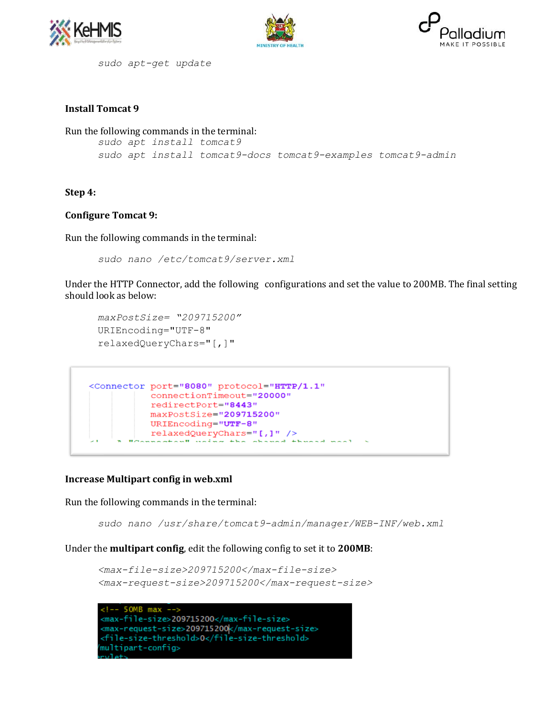





*sudo apt-get update*

# **Install Tomcat 9**

Run the following commands in the terminal: *sudo apt install tomcat9 sudo apt install tomcat9-docs tomcat9-examples tomcat9-admin*

## **Step 4:**

# **Configure Tomcat 9:**

Run the following commands in the terminal:

*sudo nano /etc/tomcat9/server.xml*

Under the HTTP Connector, add the following configurations and set the value to 200MB. The final setting should look as below:

```
maxPostSize= "209715200"
URIEncoding="UTF-8"
relaxedQueryChars="[,]"
```

```
<Connector port="8080" protocol="HTTP/1.1"
          connectionTimeout="20000"
          redirectPort="8443"
          maxPostSize="209715200"
          URIEncoding="UTF-8"
          relaxedQueryChars="[,]" />
       BOARDARAHAMB HAIRA the ab-
                                mod+head and an
```
## **Increase Multipart config in web.xml**

Run the following commands in the terminal:

*sudo nano /usr/share/tomcat9-admin/manager/WEB-INF/web.xml*

Under the **multipart config**, edit the following config to set it to **200MB**:

```
<max-file-size>209715200</max-file-size>
<max-request-size>209715200</max-request-size>
```
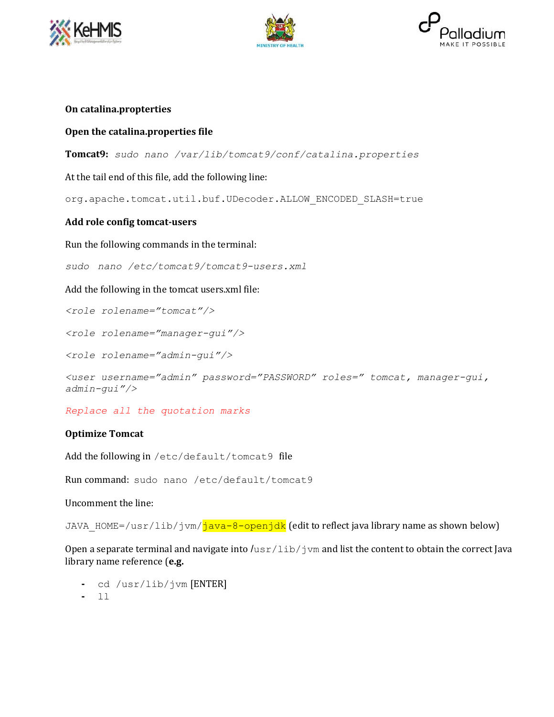





# **On catalina.propterties**

# **Open the catalina.properties file**

**Tomcat9:** *sudo nano /var/lib/tomcat9/conf/catalina.properties*

At the tail end of this file, add the following line:

org.apache.tomcat.util.buf.UDecoder.ALLOW\_ENCODED\_SLASH=true

# **Add role config tomcat-users**

Run the following commands in the terminal:

*sudo nano /etc/tomcat9/tomcat9-users.xml*

Add the following in the tomcat users.xml file:

*<role rolename="tomcat"/>*

*<role rolename="manager-gui"/>*

*<role rolename="admin-gui"/>*

```
<user username="admin" password="PASSWORD" roles=" tomcat, manager-gui, 
admin-gui"/>
```
*Replace all the quotation marks*

## **Optimize Tomcat**

Add the following in /etc/default/tomcat9 file

Run command: sudo nano /etc/default/tomcat9

Uncomment the line:

JAVA HOME=/usr/lib/jvm/<mark>java-8-openjdk</mark> (edit to reflect java library name as shown below)

Open a separate terminal and navigate into  $/\text{usr}/\text{lib}/\text{jvm}$  and list the content to obtain the correct Java library name reference (**e.g.** 

- **-** cd /usr/lib/jvm [ENTER]
- **-** ll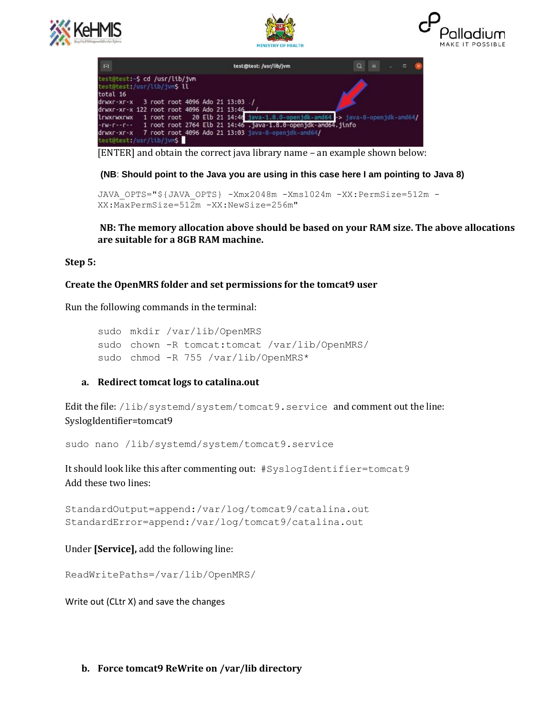





| -rw-r--r-- 1 root root 2764 Elb 21 14:46 .java-1.8.0-openidk-amd64.jinfo |  | lrwxrwxrwx 1 root root 20 Elb 21 14:46 java-1.8.0-openjdk-amd64 -> java-8-openjdk-amd64/ |
|--------------------------------------------------------------------------|--|------------------------------------------------------------------------------------------|

[ENTER] and obtain the correct java library name – an example shown below:

## **(NB**: **Should point to the Java you are using in this case here I am pointing to Java 8)**

```
JAVA_OPTS="${JAVA_OPTS} -Xmx2048m -Xms1024m -XX:PermSize=512m -
XX:MaxPermSize=512m -XX:NewSize=256m"
```
**NB: The memory allocation above should be based on your RAM size. The above allocations are suitable for a 8GB RAM machine.**

#### **Step 5:**

### **Create the OpenMRS folder and set permissions for the tomcat9 user**

Run the following commands in the terminal:

```
sudo mkdir /var/lib/OpenMRS 
sudo chown -R tomcat:tomcat /var/lib/OpenMRS/
sudo chmod -R 755 /var/lib/OpenMRS*
```
#### **a. Redirect tomcat logs to catalina.out**

Edit the file: /lib/systemd/system/tomcat9.service and comment out the line: SyslogIdentifier=tomcat9

sudo nano /lib/systemd/system/tomcat9.service

It should look like this after commenting out: #SyslogIdentifier=tomcat9 Add these two lines:

```
StandardOutput=append:/var/log/tomcat9/catalina.out
StandardError=append:/var/log/tomcat9/catalina.out
```
Under **[Service],** add the following line:

```
ReadWritePaths=/var/lib/OpenMRS/
```
Write out (CLtr X) and save the changes

#### **b. Force tomcat9 ReWrite on /var/lib directory**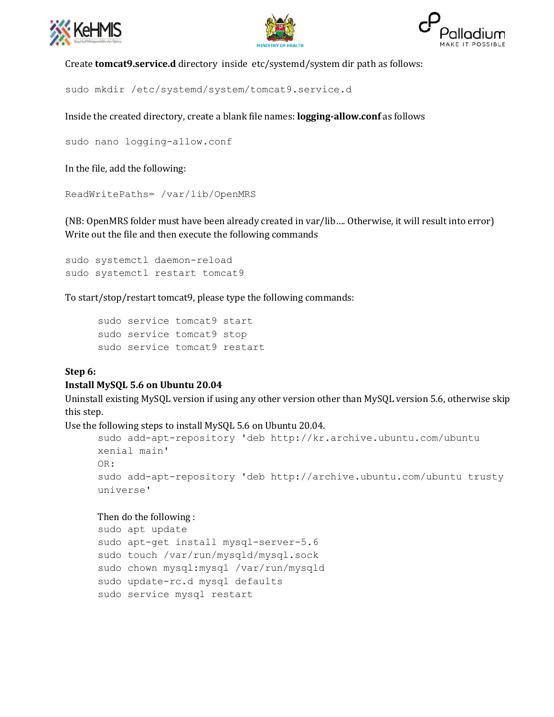





Create **tomcat9.service.d** directory inside etc/systemd/system dir path as follows:

sudo mkdir /etc/systemd/system/tomcat9.service.d

Inside the created directory, create a blank file names: **logging-allow.conf** as follows

```
sudo nano logging-allow.conf
```
In the file, add the following:

ReadWritePaths= /var/lib/OpenMRS

(NB: OpenMRS folder must have been already created in var/lib…. Otherwise, it will result into error) Write out the file and then execute the following commands

```
sudo systemctl daemon-reload
sudo systemctl restart tomcat9
```
To start/stop/restart tomcat9, please type the following commands:

```
sudo service tomcat9 start
sudo service tomcat9 stop
sudo service tomcat9 restart
```
## **Step 6:**

## **Install MySQL 5.6 on Ubuntu 20.04**

Uninstall existing MySQL version if using any other version other than MySQL version 5.6, otherwise skip this step.

Use the following steps to install MySQL 5.6 on Ubuntu 20.04.

```
sudo add-apt-repository 'deb http://kr.archive.ubuntu.com/ubuntu 
xenial main' 
OR:
sudo add-apt-repository 'deb http://archive.ubuntu.com/ubuntu trusty 
universe'
```
## Then do the following :

```
sudo apt update
sudo apt-get install mysql-server-5.6
sudo touch /var/run/mysqld/mysql.sock
sudo chown mysql:mysql /var/run/mysqld
sudo update-rc.d mysql defaults
sudo service mysql restart
```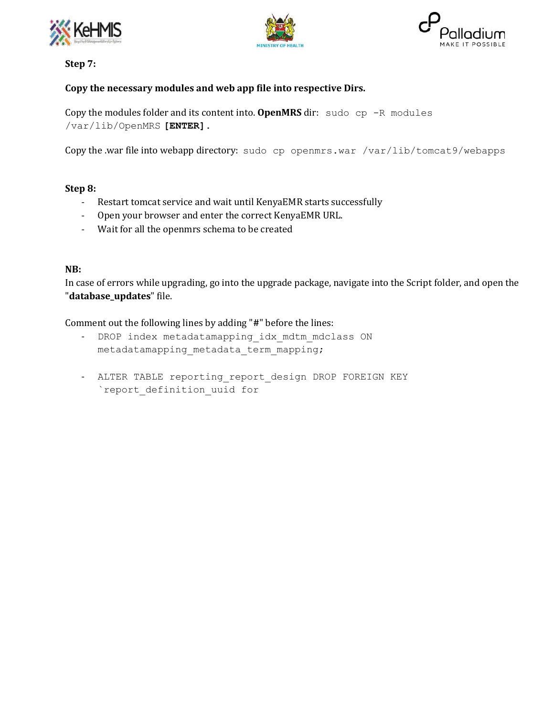





**Step 7:**

# **Copy the necessary modules and web app file into respective Dirs.**

Copy the modules folder and its content into. **OpenMRS** dir: sudo cp -R modules /var/lib/OpenMRS **[ENTER].**

Copy the .war file into webapp directory: sudo cp openmrs.war /var/lib/tomcat9/webapps

# **Step 8:**

- Restart tomcat service and wait until KenyaEMR starts successfully
- Open your browser and enter the correct KenyaEMR URL.
- Wait for all the openmrs schema to be created

# **NB:**

In case of errors while upgrading, go into the upgrade package, navigate into the Script folder, and open the "**database\_updates**" file.

Comment out the following lines by adding "**#**" before the lines:

- DROP index metadatamapping idx mdtm mdclass ON metadatamapping metadata term mapping;
- ALTER TABLE reporting report design DROP FOREIGN KEY `report\_definition\_uuid for